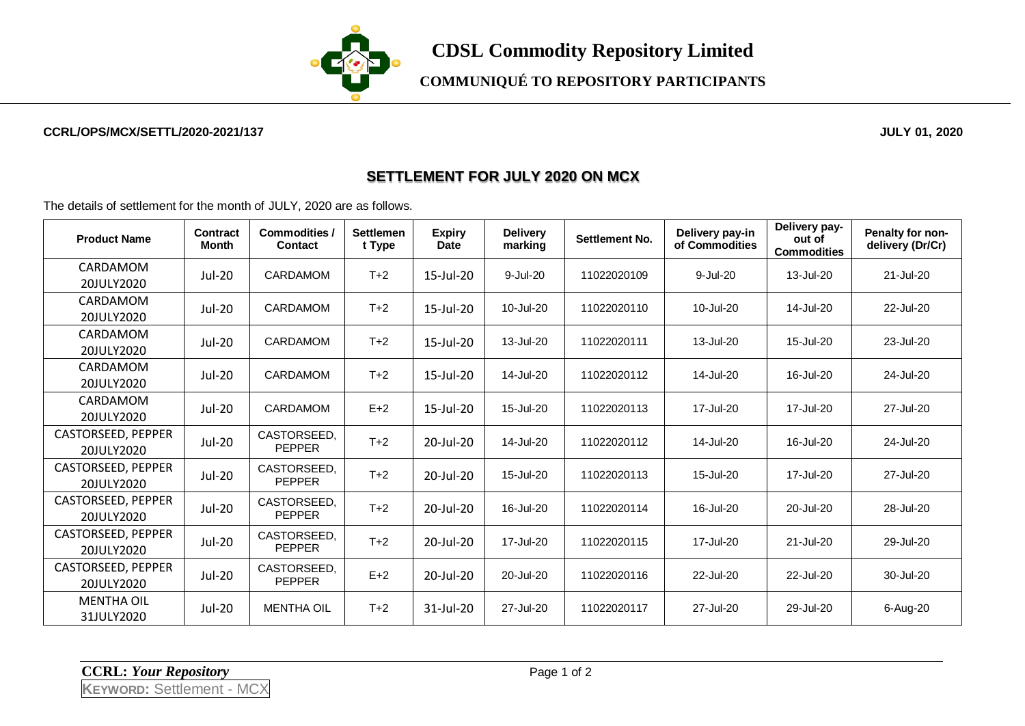

**COMMUNIQUÉ TO REPOSITORY PARTICIPANTS**

## **CCRL/OPS/MCX/SETTL/2020-2021/137 JULY 01, 2020**

## **SETTLEMENT FOR JULY 2020 ON MCX**

The details of settlement for the month of JULY, 2020 are as follows.

| <b>Product Name</b>              | Contract<br>Month | <b>Commodities /</b><br>Contact | <b>Settlemen</b><br>t Type | <b>Expiry</b><br><b>Date</b> | <b>Delivery</b><br>marking | <b>Settlement No.</b> | Delivery pay-in<br>of Commodities | Delivery pay-<br>out of<br><b>Commodities</b> | Penalty for non-<br>delivery (Dr/Cr) |
|----------------------------------|-------------------|---------------------------------|----------------------------|------------------------------|----------------------------|-----------------------|-----------------------------------|-----------------------------------------------|--------------------------------------|
| CARDAMOM<br>20JULY2020           | <b>Jul-20</b>     | <b>CARDAMOM</b>                 | $T+2$                      | 15-Jul-20                    | 9-Jul-20                   | 11022020109           | 9-Jul-20                          | 13-Jul-20                                     | 21-Jul-20                            |
| CARDAMOM<br>20JULY2020           | Jul-20            | CARDAMOM                        | $T+2$                      | 15-Jul-20                    | 10-Jul-20                  | 11022020110           | 10-Jul-20                         | 14-Jul-20                                     | 22-Jul-20                            |
| CARDAMOM<br>20JULY2020           | <b>Jul-20</b>     | <b>CARDAMOM</b>                 | $T+2$                      | 15-Jul-20                    | 13-Jul-20                  | 11022020111           | 13-Jul-20                         | 15-Jul-20                                     | 23-Jul-20                            |
| CARDAMOM<br>20JULY2020           | Jul-20            | <b>CARDAMOM</b>                 | $T+2$                      | 15-Jul-20                    | 14-Jul-20                  | 11022020112           | 14-Jul-20                         | 16-Jul-20                                     | 24-Jul-20                            |
| CARDAMOM<br>20JULY2020           | Jul-20            | <b>CARDAMOM</b>                 | $E+2$                      | 15-Jul-20                    | 15-Jul-20                  | 11022020113           | 17-Jul-20                         | 17-Jul-20                                     | 27-Jul-20                            |
| CASTORSEED, PEPPER<br>20JULY2020 | Jul-20            | CASTORSEED,<br><b>PEPPER</b>    | $T+2$                      | 20-Jul-20                    | 14-Jul-20                  | 11022020112           | 14-Jul-20                         | 16-Jul-20                                     | 24-Jul-20                            |
| CASTORSEED, PEPPER<br>20JULY2020 | Jul-20            | CASTORSEED.<br><b>PEPPER</b>    | $T+2$                      | 20-Jul-20                    | 15-Jul-20                  | 11022020113           | 15-Jul-20                         | 17-Jul-20                                     | 27-Jul-20                            |
| CASTORSEED, PEPPER<br>20JULY2020 | Jul-20            | CASTORSEED.<br><b>PEPPER</b>    | $T+2$                      | 20-Jul-20                    | 16-Jul-20                  | 11022020114           | 16-Jul-20                         | 20-Jul-20                                     | 28-Jul-20                            |
| CASTORSEED, PEPPER<br>20JULY2020 | Jul-20            | CASTORSEED,<br><b>PEPPER</b>    | $T+2$                      | 20-Jul-20                    | 17-Jul-20                  | 11022020115           | 17-Jul-20                         | 21-Jul-20                                     | 29-Jul-20                            |
| CASTORSEED, PEPPER<br>20JULY2020 | Jul-20            | CASTORSEED,<br><b>PEPPER</b>    | $E+2$                      | 20-Jul-20                    | 20-Jul-20                  | 11022020116           | 22-Jul-20                         | 22-Jul-20                                     | 30-Jul-20                            |
| <b>MENTHA OIL</b><br>31JULY2020  | Jul-20            | <b>MENTHA OIL</b>               | $T+2$                      | 31-Jul-20                    | 27-Jul-20                  | 11022020117           | 27-Jul-20                         | 29-Jul-20                                     | 6-Aug-20                             |